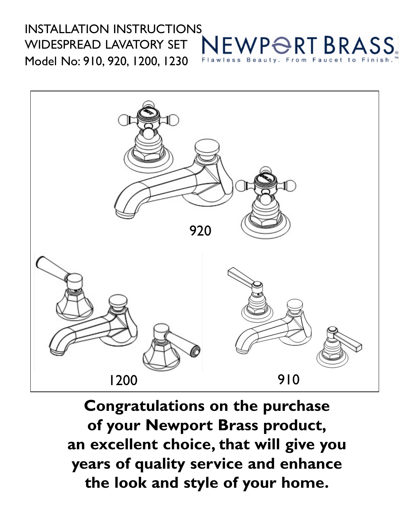## INSTALLATION INSTRUCTIONS WP<del>O</del>RT BRASS WIDESPREAD LAVATORY SET Model No: 910, 920, 1200, 1230



**Congratulations on the purchase of your Newport Brass product, an excellent choice, that will give you years of quality service and enhance the look and style of your home.**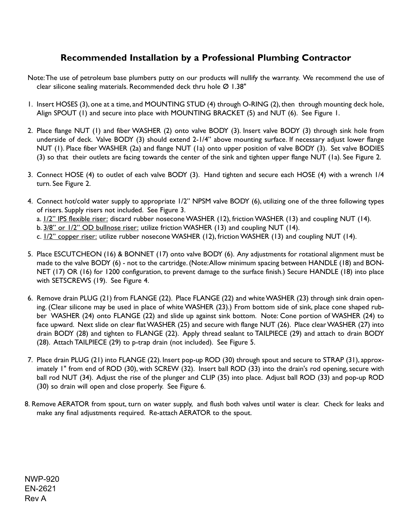## **Recommended Installation by a Professional Plumbing Contractor**

- Note: The use of petroleum base plumbers putty on our products will nullify the warranty. We recommend the use of clear silicone sealing materials. Recommended deck thru hole  $\emptyset$  1.38"
- 1. Insert HOSES (3), one at a time, and MOUNTING STUD (4) through O-RING (2), then through mounting deck hole, Align SPOUT (1) and secure into place with MOUNTING BRACKET (5) and NUT (6). See Figure 1.
- 2. Place flange NUT (1) and fiber WASHER (2) onto valve BODY (3). Insert valve BODY (3) through sink hole from underside of deck. Valve BODY (3) should extend 2-1/4" above mounting surface. If necessary adjust lower flange NUT (1). Place fiber WASHER (2a) and flange NUT (1a) onto upper position of valve BODY (3). Set valve BODIES (3) so that their outlets are facing towards the center of the sink and tighten upper flange NUT (1a). See Figure 2.
- 3. Connect HOSE (4) to outlet of each valve BODY (3). Hand tighten and secure each HOSE (4) with a wrench 1/4 turn. See Figure 2.
- 4. Connect hot/cold water supply to appropriate 1/2" NPSM valve BODY (6), utilizing one of the three following types of risers. Supply risers not included. See Figure 3.
	- a.  $1/2$ " IPS flexible riser: discard rubber nosecone WASHER (12), friction WASHER (13) and coupling NUT (14).
	- b. 3/8" or  $1/2$ " OD bullnose riser: utilize friction WASHER (13) and coupling NUT (14).
	- c. 1/2" copper riser: utilize rubber nosecone WASHER (12), friction WASHER (13) and coupling NUT (14).
- 5. Place ESCUTCHEON (16) & BONNET (17) onto valve BODY (6). Any adjustments for rotational alignment must be made to the valve BODY (6) - not to the cartridge. (Note: Allow minimum spacing between HANDLE (18) and BON-NET (17) OR (16) for 1200 configuration, to prevent damage to the surface finish.) Secure HANDLE (18) into place with SETSCREWS (19). See Figure 4.
- 6. Remove drain PLUG (21) from FLANGE (22). Place FLANGE (22) and white WASHER (23) through sink drain opening. (Clear silicone may be used in place of white WASHER (23).) From bottom side of sink, place cone shaped rubber WASHER (24) onto FLANGE (22) and slide up against sink bottom. Note: Cone portion of WASHER (24) to face upward. Next slide on clear flat WASHER (25) and secure with flange NUT (26). Place clear WASHER (27) into drain BODY (28) and tighten to FLANGE (22). Apply thread sealant to TAILPIECE (29) and attach to drain BODY (28). Attach TAILPIECE (29) to p-trap drain (not included). See Figure 5.
- 7. Place drain PLUG (21) into FLANGE (22). Insert pop-up ROD (30) through spout and secure to STRAP (31), approximately 1" from end of ROD (30), with SCREW (32). Insert ball ROD (33) into the drain's rod opening, secure with ball rod NUT (34). Adjust the rise of the plunger and CLIP (35) into place. Adjust ball ROD (33) and pop-up ROD (30) so drain will open and close properly. See Figure 6.
- 8. Remove AERATOR from spout, turn on water supply, and flush both valves until water is clear. Check for leaks and make any final adjustments required. Re-attach AERATOR to the spout.

NWP-920 EN-2621 Rev A